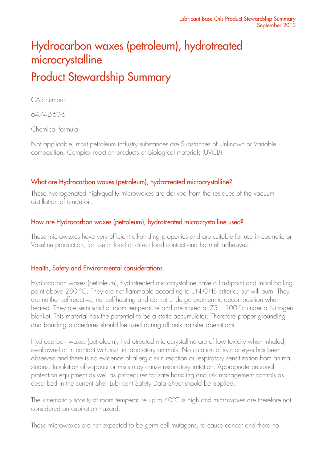# Hydrocarbon waxes (petroleum), hydrotreated microcrystalline Product Stewardship Summary

CAS number:

64742-60-5

Chemical formula:

Not applicable, most petroleum industry substances are Substances of Unknown or Variable composition, Complex reaction products or Biological materials (UVCB).

### What are Hydrocarbon waxes (petroleum), hydrotreated microcrystalline?

These hydrogenated high-quality microwaxes are derived from the residues of the vacuum distillation of crude oil.

### How are Hydrocarbon waxes (petroleum), hydrotreated microcrystalline used?

These microwaxes have very efficient oil-binding properties and are suitable for use in cosmetic or Vaseline production, for use in food or direct food contact and hot-melt adhesives.

### Health, Safety and Environmental considerations

Hydrocarbon waxes (petroleum), hydrotreated microcrystalline have a flashpoint and initial boiling point above 280 °C. They are not flammable according to UN GHS criteria, but will burn. They are neither self-reactive, nor self-heating and do not undergo exothermic decomposition when heated. They are semi-solid at room temperature and are stored at 75 – 100 °c under a Nitrogen blanket. This material has the potential to be a static accumulator. Therefore proper grounding and bonding procedures should be used during all bulk transfer operations.

Hydrocarbon waxes (petroleum), hydrotreated microcrystalline are of low toxicity when inhaled, swallowed or in contact with skin in laboratory animals. No irritation of skin or eyes has been observed and there is no evidence of allergic skin reaction or respiratory sensitization from animal studies. Inhalation of vapours or mists may cause respiratory irritation. Appropriate personal protection equipment as well as procedures for safe handling and risk management controls as described in the current Shell Lubricant Safety Data Sheet should be applied.

The kinematic viscosity at room temperature up to 40°C is high and microwaxes are therefore not considered an aspiration hazard.

These microwaxes are not expected to be germ cell mutagens, to cause cancer and there no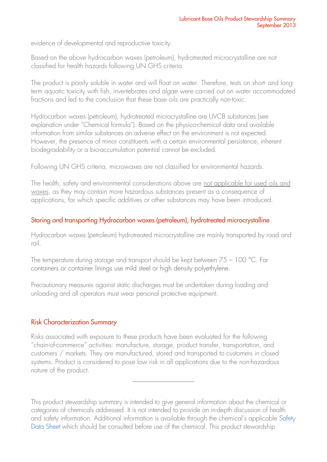evidence of developmental and reproductive toxicity.

Based on the above hydrocarbon waxes (petroleum), hydrotreated microcrystalline are not classified for health hazards following UN GHS criteria.

The product is poorly soluble in water and will float on water. Therefore, tests on short- and longterm aquatic toxicity with fish, invertebrates and algae were carried out on water accommodated fractions and led to the conclusion that these base oils are practically non-toxic.

Hydrocarbon waxes (petroleum), hydrotreated microcrystalline are UVCB substances (see explanation under "Chemical formula"). Based on the physico-chemical data and available information from similar substances an adverse effect on the environment is not expected. However, the presence of minor constituents with a certain environmental persistence, inherent biodegradability or a bio-accumulation potential cannot be excluded.

Following UN GHS criteria, microwaxes are not classified for environmental hazards.

The health, safety and environmental considerations above are not applicable for used oils and waxes, as they may contain more hazardous substances present as a consequence of applications, for which specific additives or other substances may have been introduced.

### Storing and transporting Hydrocarbon waxes (petroleum), hydrotreated microcrystalline

Hydrocarbon waxes (petroleum) hydrotreated microcrystalline are mainly transported by road and rail.

The temperature during storage and transport should be kept between 75 – 100 °C. For containers or container linings use mild steel or high density polyethylene.

Precautionary measures against static discharges must be undertaken during loading and unloading and all operators must wear personal protective equipment.

### Risk Characterization Summary

Risks associated with exposure to these products have been evaluated for the following "chain-of-commerce" activities: manufacture, storage, product transfer, transportation, and customers / markets. They are manufactured, stored and transported to customers in closed systems. Product is considered to pose low risk in all applications due to the non-hazardous nature of the product.

This product stewardship summary is intended to give general information about the chemical or categories of chemicals addressed. It is not intended to provide an in-depth discussion of health and safety information. Additional information is available through the chemical's applicable [Safety](http://www.epc.shell.com/)  [Data Sheet](http://www.epc.shell.com/) which should be consulted before use of the chemical. This product stewardship

\_\_\_\_\_\_\_\_\_\_\_\_\_\_\_\_\_\_\_